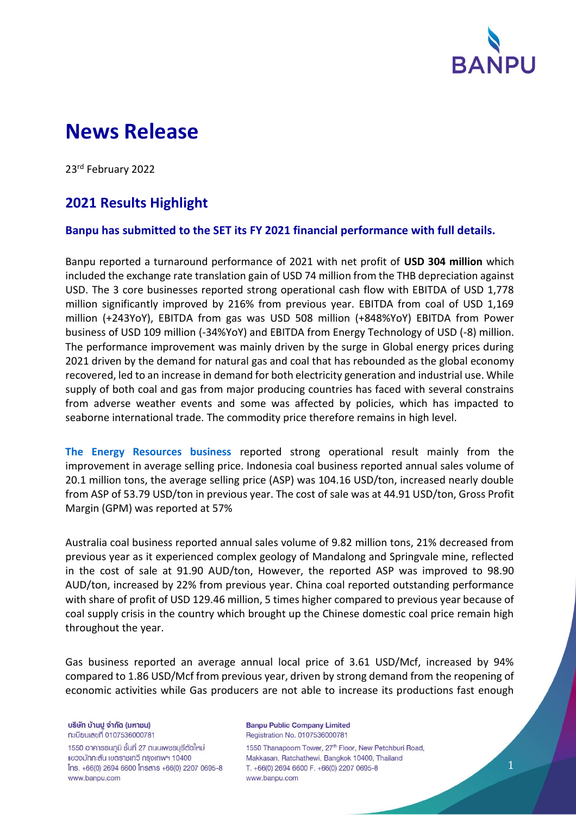

# **News Release**

23rd February 2022

# **2021 Results Highlight**

### **Banpu has submitted to the SET its FY 2021 financial performance with full details.**

Banpu reported a turnaround performance of 2021 with net profit of **USD 304 million** which included the exchange rate translation gain of USD 74 million from the THB depreciation against USD. The 3 core businesses reported strong operational cash flow with EBITDA of USD 1,778 million significantly improved by 216% from previous year. EBITDA from coal of USD 1,169 million (+243YoY), EBITDA from gas was USD 508 million (+848%YoY) EBITDA from Power business of USD 109 million (-34%YoY) and EBITDA from Energy Technology of USD (-8) million. The performance improvement was mainly driven by the surge in Global energy prices during 2021 driven by the demand for natural gas and coal that has rebounded as the global economy recovered, led to an increase in demand for both electricity generation and industrial use. While supply of both coal and gas from major producing countries has faced with several constrains from adverse weather events and some was affected by policies, which has impacted to seaborne international trade. The commodity price therefore remains in high level.

**The Energy Resources business** reported strong operational result mainly from the improvement in average selling price. Indonesia coal business reported annual sales volume of 20.1 million tons, the average selling price (ASP) was 104.16 USD/ton, increased nearly double from ASP of 53.79 USD/ton in previous year. The cost of sale was at 44.91 USD/ton, Gross Profit Margin (GPM) was reported at 57%

Australia coal business reported annual sales volume of 9.82 million tons, 21% decreased from previous year as it experienced complex geology of Mandalong and Springvale mine, reflected in the cost of sale at 91.90 AUD/ton, However, the reported ASP was improved to 98.90 AUD/ton, increased by 22% from previous year. China coal reported outstanding performance with share of profit of USD 129.46 million, 5 times higher compared to previous year because of coal supply crisis in the country which brought up the Chinese domestic coal price remain high throughout the year.

Gas business reported an average annual local price of 3.61 USD/Mcf, increased by 94% compared to 1.86 USD/Mcf from previous year, driven by strong demand from the reopening of economic activities while Gas producers are not able to increase its productions fast enough

บริษัท บ้านปู จำกัด (มหาชน) ทะเบียนเลขที่ 0107536000781

1550 อาคารธนกูมิ ชั้นที่ 27 ถนนเพชรบุรีตัดใหม่ แขวงมักกะสัน เขตราชเทวี กรุงเทพฯ 10400 Ins. +66(0) 2694 6600 Insans +66(0) 2207 0695-8 www.banpu.com

**Banpu Public Company Limited** Registration No. 0107536000781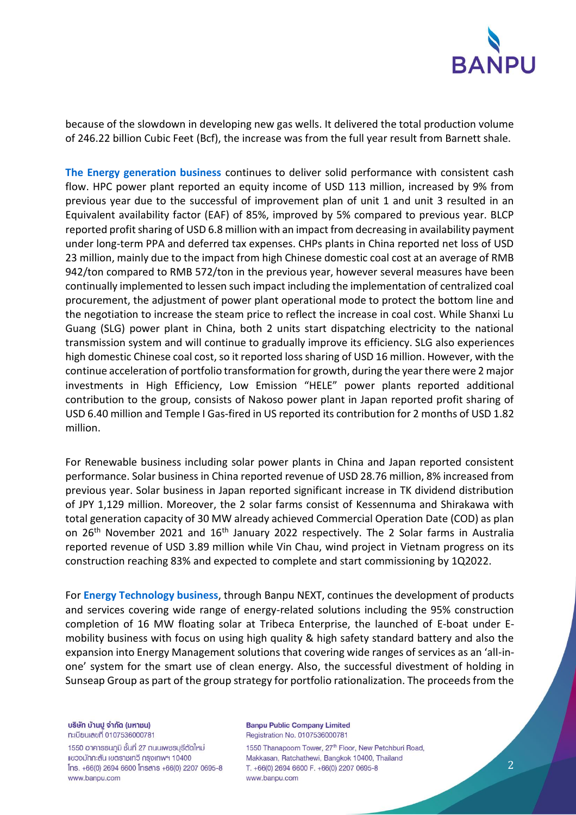

because of the slowdown in developing new gas wells. It delivered the total production volume of 246.22 billion Cubic Feet (Bcf), the increase was from the full year result from Barnett shale.

**The Energy generation business** continues to deliver solid performance with consistent cash flow. HPC power plant reported an equity income of USD 113 million, increased by 9% from previous year due to the successful of improvement plan of unit 1 and unit 3 resulted in an Equivalent availability factor (EAF) of 85%, improved by 5% compared to previous year. BLCP reported profit sharing of USD 6.8 million with an impact from decreasing in availability payment under long-term PPA and deferred tax expenses. CHPs plants in China reported net loss of USD 23 million, mainly due to the impact from high Chinese domestic coal cost at an average of RMB 942/ton compared to RMB 572/ton in the previous year, however several measures have been continually implemented to lessen such impact including the implementation of centralized coal procurement, the adjustment of power plant operational mode to protect the bottom line and the negotiation to increase the steam price to reflect the increase in coal cost. While Shanxi Lu Guang (SLG) power plant in China, both 2 units start dispatching electricity to the national transmission system and will continue to gradually improve its efficiency. SLG also experiences high domestic Chinese coal cost, so it reported loss sharing of USD 16 million. However, with the continue acceleration of portfolio transformation for growth, during the year there were 2 major investments in High Efficiency, Low Emission "HELE" power plants reported additional contribution to the group, consists of Nakoso power plant in Japan reported profit sharing of USD 6.40 million and Temple I Gas-fired in US reported its contribution for 2 months of USD 1.82 million.

For Renewable business including solar power plants in China and Japan reported consistent performance. Solar business in China reported revenue of USD 28.76 million, 8% increased from previous year. Solar business in Japan reported significant increase in TK dividend distribution of JPY 1,129 million. Moreover, the 2 solar farms consist of Kessennuma and Shirakawa with total generation capacity of 30 MW already achieved Commercial Operation Date (COD) as plan on 26<sup>th</sup> November 2021 and 16<sup>th</sup> January 2022 respectively. The 2 Solar farms in Australia reported revenue of USD 3.89 million while Vin Chau, wind project in Vietnam progress on its construction reaching 83% and expected to complete and start commissioning by 1Q2022.

For **Energy Technology business**, through Banpu NEXT, continues the development of products and services covering wide range of energy-related solutions including the 95% construction completion of 16 MW floating solar at Tribeca Enterprise, the launched of E-boat under Emobility business with focus on using high quality & high safety standard battery and also the expansion into Energy Management solutions that covering wide ranges of services as an 'all-inone' system for the smart use of clean energy. Also, the successful divestment of holding in Sunseap Group as part of the group strategy for portfolio rationalization. The proceeds from the

บริษัท บ้านปู จำกัด (มหาชน) ทะเบียนเลขที่ 0107536000781

1550 อาคารธนกูมิ ชั้นที่ 27 ถนนเพชรบุรีตัดใหม่ แขวงมักกะสัน เขตราชเทวี กรุงเทพฯ 10400 Ins. +66(0) 2694 6600 Insans +66(0) 2207 0695-8 www.banpu.com

**Banpu Public Company Limited** Registration No. 0107536000781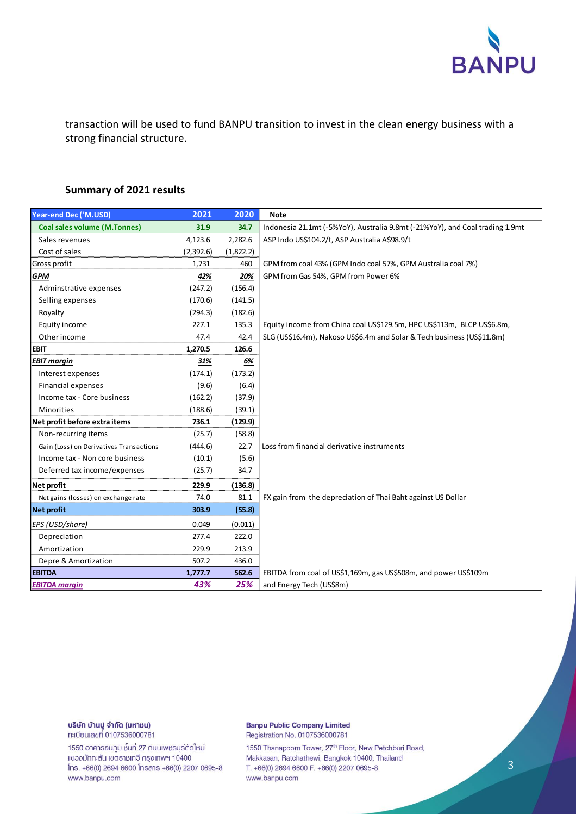

transaction will be used to fund BANPU transition to invest in the clean energy business with a strong financial structure.

## **Summary of 2021 results**

| Year-end Dec ('M.USD)                   | 2021      | 2020      | <b>Note</b>                                                                  |  |  |
|-----------------------------------------|-----------|-----------|------------------------------------------------------------------------------|--|--|
| <b>Coal sales volume (M.Tonnes)</b>     | 31.9      | 34.7      | Indonesia 21.1mt (-5%YoY), Australia 9.8mt (-21%YoY), and Coal trading 1.9mt |  |  |
| Sales revenues                          | 4,123.6   | 2,282.6   | ASP Indo US\$104.2/t, ASP Australia A\$98.9/t                                |  |  |
| Cost of sales                           | (2,392.6) | (1,822.2) |                                                                              |  |  |
| Gross profit                            | 1,731     | 460       | GPM from coal 43% (GPM Indo coal 57%, GPM Australia coal 7%)                 |  |  |
| <b>GPM</b>                              | 42%       | 20%       | GPM from Gas 54%, GPM from Power 6%                                          |  |  |
| Adminstrative expenses                  | (247.2)   | (156.4)   |                                                                              |  |  |
| Selling expenses                        | (170.6)   | (141.5)   |                                                                              |  |  |
| Royalty                                 | (294.3)   | (182.6)   |                                                                              |  |  |
| Equity income                           | 227.1     | 135.3     | Equity income from China coal US\$129.5m, HPC US\$113m, BLCP US\$6.8m,       |  |  |
| Other income                            | 47.4      | 42.4      | SLG (US\$16.4m), Nakoso US\$6.4m and Solar & Tech business (US\$11.8m)       |  |  |
| <b>EBIT</b>                             | 1,270.5   | 126.6     |                                                                              |  |  |
| <b>EBIT margin</b>                      | 31%       | 6%        |                                                                              |  |  |
| Interest expenses                       | (174.1)   | (173.2)   |                                                                              |  |  |
| <b>Financial expenses</b>               | (9.6)     | (6.4)     |                                                                              |  |  |
| Income tax - Core business              | (162.2)   | (37.9)    |                                                                              |  |  |
| <b>Minorities</b>                       | (188.6)   | (39.1)    |                                                                              |  |  |
| Net profit before extra items           | 736.1     | (129.9)   |                                                                              |  |  |
| Non-recurring items                     | (25.7)    | (58.8)    |                                                                              |  |  |
| Gain (Loss) on Derivatives Transactions | (444.6)   | 22.7      | Loss from financial derivative instruments                                   |  |  |
| Income tax - Non core business          | (10.1)    | (5.6)     |                                                                              |  |  |
| Deferred tax income/expenses            | (25.7)    | 34.7      |                                                                              |  |  |
| Net profit                              | 229.9     | (136.8)   |                                                                              |  |  |
| Net gains (losses) on exchange rate     | 74.0      | 81.1      | FX gain from the depreciation of Thai Baht against US Dollar                 |  |  |
| <b>Net profit</b>                       | 303.9     | (55.8)    |                                                                              |  |  |
| EPS (USD/share)                         | 0.049     | (0.011)   |                                                                              |  |  |
| Depreciation                            | 277.4     | 222.0     |                                                                              |  |  |
| Amortization                            | 229.9     | 213.9     |                                                                              |  |  |
| Depre & Amortization                    | 507.2     | 436.0     |                                                                              |  |  |
| <b>EBITDA</b>                           | 1,777.7   | 562.6     | EBITDA from coal of US\$1,169m, gas US\$508m, and power US\$109m             |  |  |
| <b>EBITDA margin</b>                    | 43%       | 25%       | and Energy Tech (US\$8m)                                                     |  |  |

บริษัท บ้านปู จำกัด (มหาชน) ทะเบียนเลขที่ 0107536000781

1550 อาคารธนภูมิ ชั้นที่ 27 ถนนเพชรบุรีตัดใหม่ แขวงมักกะสัน เขตราชเทวี กรุงเทพฯ 10400 Ins. +66(0) 2694 6600 Insans +66(0) 2207 0695-8 www.banpu.com

#### **Banpu Public Company Limited** Registration No. 0107536000781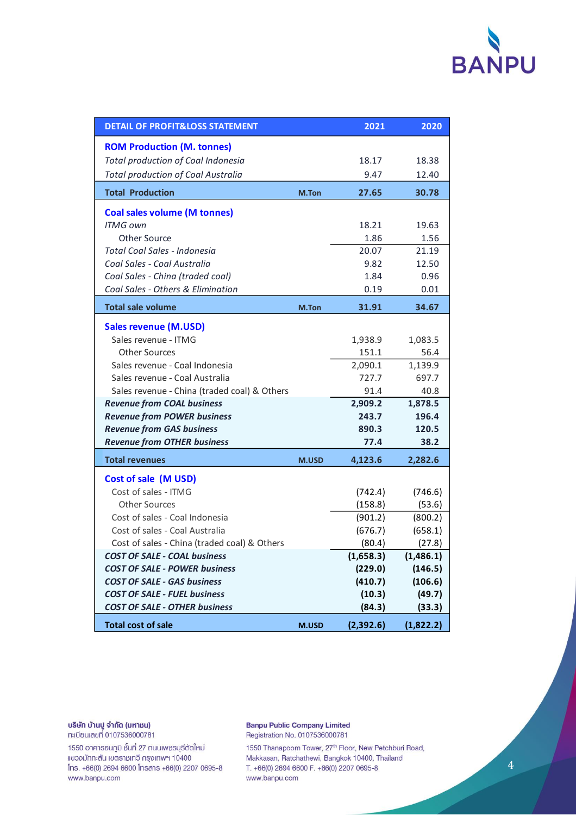# **BANPU**

| <b>DETAIL OF PROFIT&amp;LOSS STATEMENT</b>   |              | 2021      | 2020      |
|----------------------------------------------|--------------|-----------|-----------|
| <b>ROM Production (M. tonnes)</b>            |              |           |           |
| Total production of Coal Indonesia           |              | 18.17     | 18.38     |
| <b>Total production of Coal Australia</b>    |              | 9.47      | 12.40     |
| <b>Total Production</b>                      | M.Ton        | 27.65     | 30.78     |
| <b>Coal sales volume (M tonnes)</b>          |              |           |           |
| <b>ITMG own</b>                              |              | 18.21     | 19.63     |
| <b>Other Source</b>                          |              | 1.86      | 1.56      |
| Total Coal Sales - Indonesia                 |              | 20.07     | 21.19     |
| Coal Sales - Coal Australia                  |              | 9.82      | 12.50     |
| Coal Sales - China (traded coal)             |              | 1.84      | 0.96      |
| Coal Sales - Others & Elimination            |              | 0.19      | 0.01      |
| <b>Total sale volume</b>                     | M.Ton        | 31.91     | 34.67     |
| <b>Sales revenue (M.USD)</b>                 |              |           |           |
| Sales revenue - ITMG                         |              | 1,938.9   | 1,083.5   |
| <b>Other Sources</b>                         |              | 151.1     | 56.4      |
| Sales revenue - Coal Indonesia               |              | 2,090.1   | 1,139.9   |
| Sales revenue - Coal Australia               |              | 727.7     | 697.7     |
| Sales revenue - China (traded coal) & Others |              | 91.4      | 40.8      |
| <b>Revenue from COAL business</b>            |              | 2,909.2   | 1,878.5   |
| <b>Revenue from POWER business</b>           |              | 243.7     | 196.4     |
| <b>Revenue from GAS business</b>             |              | 890.3     | 120.5     |
| <b>Revenue from OTHER business</b>           |              | 77.4      | 38.2      |
| <b>Total revenues</b>                        | <b>M.USD</b> | 4,123.6   | 2,282.6   |
| Cost of sale (M USD)                         |              |           |           |
| Cost of sales - ITMG                         |              | (742.4)   | (746.6)   |
| <b>Other Sources</b>                         |              | (158.8)   | (53.6)    |
| Cost of sales - Coal Indonesia               |              | (901.2)   | (800.2)   |
| Cost of sales - Coal Australia               |              | (676.7)   | (658.1)   |
| Cost of sales - China (traded coal) & Others |              | (80.4)    | (27.8)    |
| <b>COST OF SALE - COAL business</b>          |              | (1,658.3) | (1,486.1) |
| <b>COST OF SALE - POWER business</b>         |              | (229.0)   | (146.5)   |
| <b>COST OF SALE - GAS business</b>           |              | (410.7)   | (106.6)   |
| <b>COST OF SALE - FUEL business</b>          |              | (10.3)    | (49.7)    |
| <b>COST OF SALE - OTHER business</b>         |              | (84.3)    | (33.3)    |
| <b>Total cost of sale</b>                    | <b>M.USD</b> | (2,392.6) | (1,822.2) |

บริษัท บ้านปู จำกัด (มหาชน) ทะเบียนเลขที่ 0107536000781

1550 อาคารธนภูมิ ชั้นที่ 27 ถนนเพชรบุรีตัดใหม่ แขวงมักกะสัน เขตราชเทวี กรุงเทพฯ 10400 Ins. +66(0) 2694 6600 Insans +66(0) 2207 0695-8 www.banpu.com

**Banpu Public Company Limited** Registration No. 0107536000781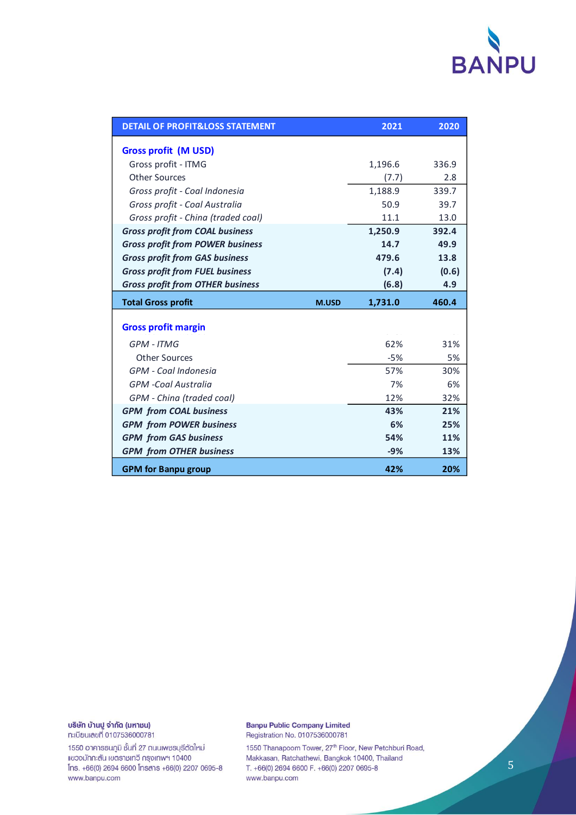

| <b>DETAIL OF PROFIT&amp;LOSS STATEMENT</b> |              | 2021    | 2020  |
|--------------------------------------------|--------------|---------|-------|
| <b>Gross profit (M USD)</b>                |              |         |       |
| Gross profit - ITMG                        |              | 1,196.6 | 336.9 |
| <b>Other Sources</b>                       |              | (7.7)   | 2.8   |
| Gross profit - Coal Indonesia              |              | 1,188.9 | 339.7 |
| Gross profit - Coal Australia              |              | 50.9    | 39.7  |
| Gross profit - China (traded coal)         |              | 11.1    | 13.0  |
| <b>Gross profit from COAL business</b>     |              | 1,250.9 | 392.4 |
| <b>Gross profit from POWER business</b>    |              | 14.7    | 49.9  |
| <b>Gross profit from GAS business</b>      |              | 479.6   | 13.8  |
| <b>Gross profit from FUEL business</b>     |              | (7.4)   | (0.6) |
| <b>Gross profit from OTHER business</b>    |              | (6.8)   | 4.9   |
| <b>Total Gross profit</b>                  |              |         |       |
|                                            | <b>M.USD</b> | 1,731.0 | 460.4 |
|                                            |              |         |       |
| <b>Gross profit margin</b>                 |              |         |       |
| GPM - ITMG                                 |              | 62%     | 31%   |
| <b>Other Sources</b>                       |              | $-5%$   | 5%    |
| GPM - Coal Indonesia                       |              | 57%     | 30%   |
| <b>GPM</b> -Coal Australia                 |              | 7%      | 6%    |
| GPM - China (traded coal)                  |              | 12%     | 32%   |
| <b>GPM</b> from COAL business              |              | 43%     | 21%   |
| <b>GPM</b> from POWER business             |              | 6%      | 25%   |
| <b>GPM</b> from GAS business               |              | 54%     | 11%   |
| <b>GPM</b> from OTHER business             |              | $-9%$   | 13%   |

บริษัท บ้านปู จำกัด (มหาชน) ทะเบียนเลขที่ 0107536000781

1550 อาคารธนภูมิ ชั้นที่ 27 ถนนเพชรบุรีตัดใหม่ แขวงมักกะสัน เขตราชเทวี กรุงเทพฯ 10400 Ins. +66(0) 2694 6600 Insans +66(0) 2207 0695-8 www.banpu.com

**Banpu Public Company Limited** Registration No. 0107536000781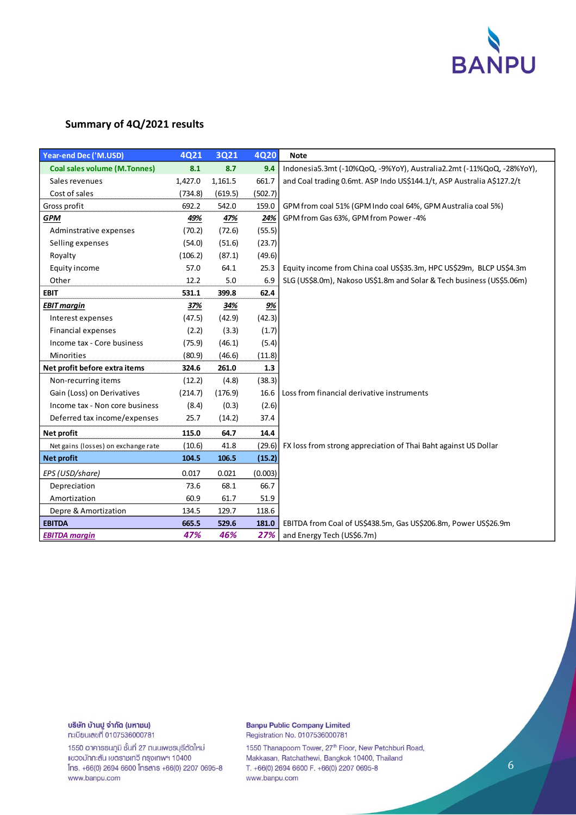

# **Summary of 4Q/2021 results**

| <b>Year-end Dec ('M.USD)</b>        | 4Q21    | 3Q21    | <b>4Q20</b> | <b>Note</b>                                                            |
|-------------------------------------|---------|---------|-------------|------------------------------------------------------------------------|
| <b>Coal sales volume (M.Tonnes)</b> | 8.1     | 8.7     | 9.4         | Indonesia5.3mt (-10%QoQ, -9%YoY), Australia2.2mt (-11%QoQ, -28%YoY),   |
| Sales revenues                      | 1,427.0 | 1,161.5 | 661.7       | and Coal trading 0.6mt. ASP Indo US\$144.1/t, ASP Australia A\$127.2/t |
| Cost of sales                       | (734.8) | (619.5) | (502.7)     |                                                                        |
| Gross profit                        | 692.2   | 542.0   | 159.0       | GPM from coal 51% (GPM Indo coal 64%, GPM Australia coal 5%)           |
| <b>GPM</b>                          | 49%     | 47%     | 24%         | GPM from Gas 63%, GPM from Power-4%                                    |
| Adminstrative expenses              | (70.2)  | (72.6)  | (55.5)      |                                                                        |
| Selling expenses                    | (54.0)  | (51.6)  | (23.7)      |                                                                        |
| Royalty                             | (106.2) | (87.1)  | (49.6)      |                                                                        |
| Equity income                       | 57.0    | 64.1    | 25.3        | Equity income from China coal US\$35.3m, HPC US\$29m, BLCP US\$4.3m    |
| Other                               | 12.2    | 5.0     | 6.9         | SLG (US\$8.0m), Nakoso US\$1.8m and Solar & Tech business (US\$5.06m)  |
| <b>EBIT</b>                         | 531.1   | 399.8   | 62.4        |                                                                        |
| <b>EBIT margin</b>                  | 37%     | 34%     | 9%          |                                                                        |
| Interest expenses                   | (47.5)  | (42.9)  | (42.3)      |                                                                        |
| <b>Financial expenses</b>           | (2.2)   | (3.3)   | (1.7)       |                                                                        |
| Income tax - Core business          | (75.9)  | (46.1)  | (5.4)       |                                                                        |
| Minorities                          | (80.9)  | (46.6)  | (11.8)      |                                                                        |
| Net profit before extra items       | 324.6   | 261.0   | 1.3         |                                                                        |
| Non-recurring items                 | (12.2)  | (4.8)   | (38.3)      |                                                                        |
| Gain (Loss) on Derivatives          | (214.7) | (176.9) | 16.6        | Loss from financial derivative instruments                             |
| Income tax - Non core business      | (8.4)   | (0.3)   | (2.6)       |                                                                        |
| Deferred tax income/expenses        | 25.7    | (14.2)  | 37.4        |                                                                        |
| Net profit                          | 115.0   | 64.7    | 14.4        |                                                                        |
| Net gains (losses) on exchange rate | (10.6)  | 41.8    | (29.6)      | FX loss from strong appreciation of Thai Baht against US Dollar        |
| Net profit                          | 104.5   | 106.5   | (15.2)      |                                                                        |
| EPS (USD/share)                     | 0.017   | 0.021   | (0.003)     |                                                                        |
| Depreciation                        | 73.6    | 68.1    | 66.7        |                                                                        |
| Amortization                        | 60.9    | 61.7    | 51.9        |                                                                        |
| Depre & Amortization                | 134.5   | 129.7   | 118.6       |                                                                        |
| <b>EBITDA</b>                       | 665.5   | 529.6   | 181.0       | EBITDA from Coal of US\$438.5m, Gas US\$206.8m, Power US\$26.9m        |
| <b>EBITDA</b> margin                | 47%     | 46%     | 27%         | and Energy Tech (US\$6.7m)                                             |

# บริษัท บ้านปู จำกัด (มหาชน)

ทะเบียนเลขที่ 0107536000781

1550 อาคารธนภูมิ ชั้นที่ 27 ถนนเพชรบุรีตัดใหม่ แขวงมักกะสัน เขตราชเทวี กรุงเทพฯ 10400 Ins. +66(0) 2694 6600 Insans +66(0) 2207 0695-8 www.banpu.com

#### **Banpu Public Company Limited** Registration No. 0107536000781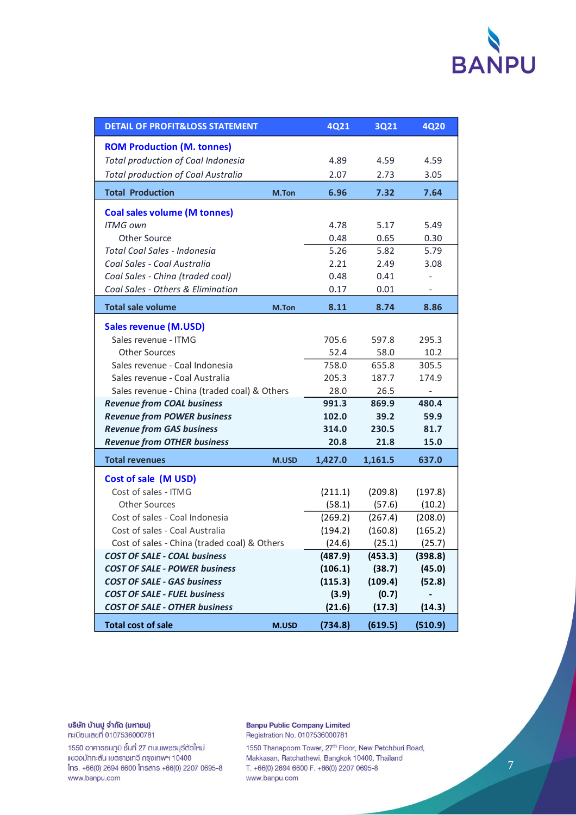

| <b>DETAIL OF PROFIT&amp;LOSS STATEMENT</b>   |       | 4Q21    | 3Q21    | <b>4Q20</b> |
|----------------------------------------------|-------|---------|---------|-------------|
| <b>ROM Production (M. tonnes)</b>            |       |         |         |             |
| Total production of Coal Indonesia           |       | 4.89    | 4.59    | 4.59        |
| <b>Total production of Coal Australia</b>    |       | 2.07    | 2.73    | 3.05        |
| <b>Total Production</b>                      | M.Ton | 6.96    | 7.32    | 7.64        |
| <b>Coal sales volume (M tonnes)</b>          |       |         |         |             |
| <b>ITMG own</b>                              |       | 4.78    | 5.17    | 5.49        |
| Other Source                                 |       | 0.48    | 0.65    | 0.30        |
| Total Coal Sales - Indonesia                 |       | 5.26    | 5.82    | 5.79        |
| Coal Sales - Coal Australia                  |       | 2.21    | 2.49    | 3.08        |
| Coal Sales - China (traded coal)             |       | 0.48    | 0.41    |             |
| Coal Sales - Others & Elimination            |       | 0.17    | 0.01    |             |
| <b>Total sale volume</b>                     | M.Ton | 8.11    | 8.74    | 8.86        |
| <b>Sales revenue (M.USD)</b>                 |       |         |         |             |
| Sales revenue - ITMG                         |       | 705.6   | 597.8   | 295.3       |
| <b>Other Sources</b>                         |       | 52.4    | 58.0    | 10.2        |
| Sales revenue - Coal Indonesia               |       | 758.0   | 655.8   | 305.5       |
| Sales revenue - Coal Australia               |       | 205.3   | 187.7   | 174.9       |
| Sales revenue - China (traded coal) & Others | 28.0  | 26.5    |         |             |
| <b>Revenue from COAL business</b>            |       | 991.3   | 869.9   | 480.4       |
| <b>Revenue from POWER business</b>           |       | 102.0   | 39.2    | 59.9        |
| <b>Revenue from GAS business</b>             |       | 314.0   | 230.5   | 81.7        |
| <b>Revenue from OTHER business</b>           |       | 20.8    | 21.8    | 15.0        |
| <b>Total revenues</b>                        | M.USD | 1,427.0 | 1,161.5 | 637.0       |
| Cost of sale (M USD)                         |       |         |         |             |
| Cost of sales - ITMG                         |       | (211.1) | (209.8) | (197.8)     |
| <b>Other Sources</b>                         |       | (58.1)  | (57.6)  | (10.2)      |
| Cost of sales - Coal Indonesia               |       | (269.2) | (267.4) | (208.0)     |
| Cost of sales - Coal Australia               |       | (194.2) | (160.8) | (165.2)     |
| Cost of sales - China (traded coal) & Others |       | (24.6)  | (25.1)  | (25.7)      |
| <b>COST OF SALE - COAL business</b>          |       | (487.9) | (453.3) | (398.8)     |
| <b>COST OF SALE - POWER business</b>         |       | (106.1) | (38.7)  | (45.0)      |
| <b>COST OF SALE - GAS business</b>           |       | (115.3) | (109.4) | (52.8)      |
| <b>COST OF SALE - FUEL business</b>          |       | (3.9)   | (0.7)   |             |
| <b>COST OF SALE - OTHER business</b>         |       | (21.6)  | (17.3)  | (14.3)      |
| <b>Total cost of sale</b>                    | M.USD | (734.8) | (619.5) | (510.9)     |

บริษัท บ้านปู จำกัด (มหาชน) ทะเบียนเลขที่ 0107536000781

1550 อาคารธนภูมิ ชั้นที่ 27 ถนนเพชรบุรีตัดใหม่ แขวงมักกะสัน เขตราชเทวี กรุงเทพฯ 10400 Ins. +66(0) 2694 6600 Insans +66(0) 2207 0695-8 www.banpu.com

**Banpu Public Company Limited** Registration No. 0107536000781